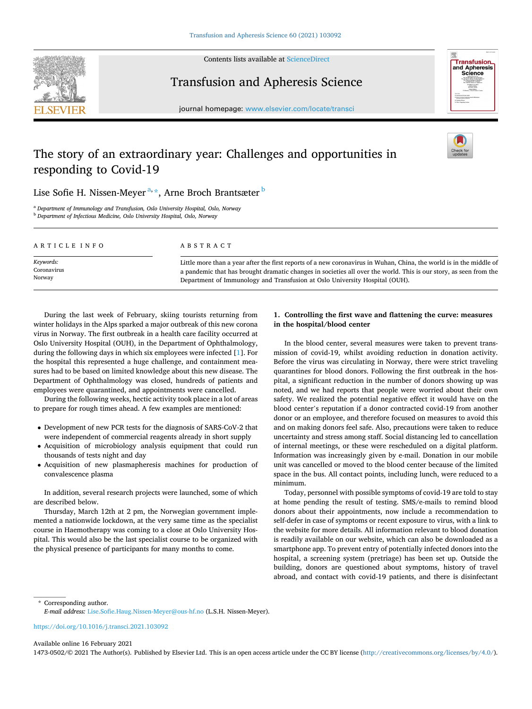

Contents lists available at [ScienceDirect](www.sciencedirect.com/science/journal/14730502)

Transfusion and Apheresis Science



journal homepage: [www.elsevier.com/locate/transci](https://www.elsevier.com/locate/transci) 

# The story of an extraordinary year: Challenges and opportunities in responding to Covid-19



## Lise Sofie H. Nissen-Meyer<sup>a, \*</sup>, Arne Broch Brantsæter <sup>b</sup>

<sup>a</sup> *Department of Immunology and Transfusion, Oslo University Hospital, Oslo, Norway* <sup>b</sup> *Department of Infectious Medicine, Oslo University Hospital, Oslo, Norway* 

| ARTICLE INFO | ABSTRACT                                                                                                            |
|--------------|---------------------------------------------------------------------------------------------------------------------|
| Keywords:    | Little more than a year after the first reports of a new coronavirus in Wuhan, China, the world is in the middle of |
| Coronavirus  | a pandemic that has brought dramatic changes in societies all over the world. This is our story, as seen from the   |
| Norway       | Department of Immunology and Transfusion at Oslo University Hospital (OUH).                                         |

During the last week of February, skiing tourists returning from winter holidays in the Alps sparked a major outbreak of this new corona virus in Norway. The first outbreak in a health care facility occurred at Oslo University Hospital (OUH), in the Department of Ophthalmology, during the following days in which six employees were infected [[1](#page-3-0)]. For the hospital this represented a huge challenge, and containment measures had to be based on limited knowledge about this new disease. The Department of Ophthalmology was closed, hundreds of patients and employees were quarantined, and appointments were cancelled.

During the following weeks, hectic activity took place in a lot of areas to prepare for rough times ahead. A few examples are mentioned:

- Development of new PCR tests for the diagnosis of SARS-CoV-2 that were independent of commercial reagents already in short supply
- Acquisition of microbiology analysis equipment that could run thousands of tests night and day
- Acquisition of new plasmapheresis machines for production of convalescence plasma

In addition, several research projects were launched, some of which are described below.

Thursday, March 12th at 2 pm, the Norwegian government implemented a nationwide lockdown, at the very same time as the specialist course in Haemotherapy was coming to a close at Oslo University Hospital. This would also be the last specialist course to be organized with the physical presence of participants for many months to come.

## **1. Controlling the first wave and flattening the curve: measures in the hospital/blood center**

In the blood center, several measures were taken to prevent transmission of covid-19, whilst avoiding reduction in donation activity. Before the virus was circulating in Norway, there were strict traveling quarantines for blood donors. Following the first outbreak in the hospital, a significant reduction in the number of donors showing up was noted, and we had reports that people were worried about their own safety. We realized the potential negative effect it would have on the blood center's reputation if a donor contracted covid-19 from another donor or an employee, and therefore focused on measures to avoid this and on making donors feel safe. Also, precautions were taken to reduce uncertainty and stress among staff. Social distancing led to cancellation of internal meetings, or these were rescheduled on a digital platform. Information was increasingly given by e-mail. Donation in our mobile unit was cancelled or moved to the blood center because of the limited space in the bus. All contact points, including lunch, were reduced to a minimum.

Today, personnel with possible symptoms of covid-19 are told to stay at home pending the result of testing. SMS/e-mails to remind blood donors about their appointments, now include a recommendation to self-defer in case of symptoms or recent exposure to virus, with a link to the website for more details. All information relevant to blood donation is readily available on our website, which can also be downloaded as a smartphone app. To prevent entry of potentially infected donors into the hospital, a screening system (pretriage) has been set up. Outside the building, donors are questioned about symptoms, history of travel abroad, and contact with covid-19 patients, and there is disinfectant

\* Corresponding author. *E-mail address:* [Lise.Sofie.Haug.Nissen-Meyer@ous-hf.no](mailto:Lise.Sofie.Haug.Nissen-Meyer@ous-hf.no) (L.S.H. Nissen-Meyer).

<https://doi.org/10.1016/j.transci.2021.103092>

### Available online 16 February 2021

1473-0502/© 2021 The Author(s). Published by Elsevier Ltd. This is an open access article under the CC BY license [\(http://creativecommons.org/licenses/by/4.0/\)](http://creativecommons.org/licenses/by/4.0/).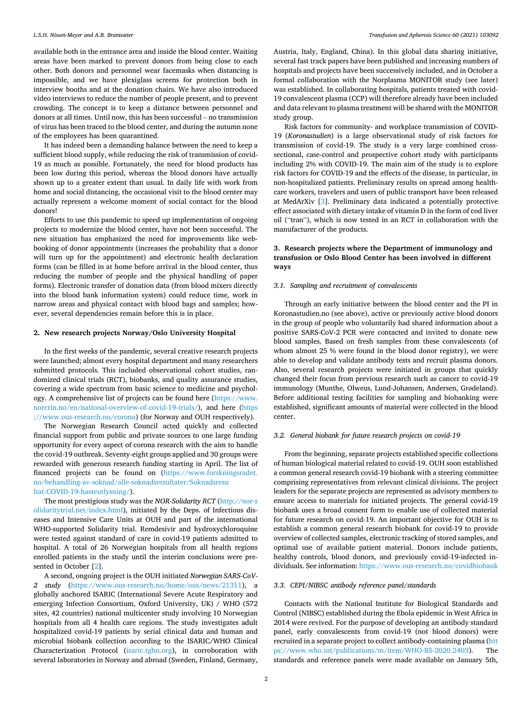#### *L.S.H. Nissen-Meyer and A.B. Brantsæter*

available both in the entrance area and inside the blood center. Waiting areas have been marked to prevent donors from being close to each other. Both donors and personnel wear facemasks when distancing is impossible, and we have plexiglass screens for protection both in interview booths and at the donation chairs. We have also introduced video interviews to reduce the number of people present, and to prevent crowding. The concept is to keep a distance between personnel and donors at all times. Until now, this has been successful – no transmission of virus has been traced to the blood center, and during the autumn none of the employees has been quarantined.

It has indeed been a demanding balance between the need to keep a sufficient blood supply, while reducing the risk of transmission of covid-19 as much as possible. Fortunately, the need for blood products has been low during this period, whereas the blood donors have actually shown up to a greater extent than usual. In daily life with work from home and social distancing, the occasional visit to the blood center may actually represent a welcome moment of social contact for the blood donors!

Efforts to use this pandemic to speed up implementation of ongoing projects to modernize the blood center, have not been successful. The new situation has emphasized the need for improvements like webbooking of donor appointments (increases the probability that a donor will turn up for the appointment) and electronic health declaration forms (can be filled in at home before arrival in the blood center, thus reducing the number of people and the physical handling of paper forms). Electronic transfer of donation data (from blood mixers directly into the blood bank information system) could reduce time, work in narrow areas and physical contact with blood bags and samples; however, several dependencies remain before this is in place.

#### **2. New research projects Norway/Oslo University Hospital**

In the first weeks of the pandemic, several creative research projects were launched; almost every hospital department and many researchers submitted protocols. This included observational cohort studies, randomized clinical trials (RCT), biobanks, and quality assurance studies, covering a wide spectrum from basic science to medicine and psychology. A comprehensive list of projects can be found here [\(https://www.](https://www.norcrin.no/en/national-overview-of-covid-19-trials/)  [norcrin.no/en/national-overview-of-covid-19-trials/\)](https://www.norcrin.no/en/national-overview-of-covid-19-trials/), and here [\(https](https://www.ous-research.no/corona)  [://www.ous-research.no/corona\)](https://www.ous-research.no/corona) (for Norway and OUH respectively).

The Norwegian Research Council acted quickly and collected financial support from public and private sources to one large funding opportunity for every aspect of corona research with the aim to handle the covid-19 outbreak. Seventy-eight groups applied and 30 groups were rewarded with generous research funding starting in April. The list of financed projects can be found on [\(https://www.forskningsradet.](https://www.forskningsradet.no/behandling-av-soknad/alle-soknadsresultater/Soknadsresultat-COVID-19-hasteutlysning/)  [no/behandling-av-soknad/alle-soknadsresultater/Soknadsresu](https://www.forskningsradet.no/behandling-av-soknad/alle-soknadsresultater/Soknadsresultat-COVID-19-hasteutlysning/) [ltat-COVID-19-hasteutlysning/](https://www.forskningsradet.no/behandling-av-soknad/alle-soknadsresultater/Soknadsresultat-COVID-19-hasteutlysning/)).

The most prestigious study was the *NOR-Solidarity RCT* ([http://nor-s](http://nor-solidaritytrial.net/index.html)  [olidaritytrial.net/index.html\)](http://nor-solidaritytrial.net/index.html), initiated by the Deps. of Infectious diseases and Intensive Care Units at OUH and part of the international WHO-supported Solidarity trial. Remdesivir and hydroxychloroquine were tested against standard of care in covid-19 patients admitted to hospital. A total of 26 Norwegian hospitals from all health regions enrolled patients in the study until the interim conclusions were presented in October [[2](#page-3-0)].

A second, ongoing project is the OUH initiated *Norwegian SARS-CoV-2 study* ([https://www.ous-research.no/home/ous/news/21311\)](https://www.ous-research.no/home/ous/news/21311), a globally anchored ISARIC (International Severe Acute Respiratory and emerging Infection Consortium, Oxford University, UK) / WHO (572 sites, 42 countries) national multicenter study involving 10 Norwegian hospitals from all 4 health care regions. The study investigates adult hospitalized covid-19 patients by serial clinical data and human and microbial biobank collection according to the ISARIC/WHO Clinical Characterization Protocol ([isaric.tghn.org\)](http://isaric.tghn.org), in corroboration with several laboratories in Norway and abroad (Sweden, Finland, Germany,

Austria, Italy, England, China). In this global data sharing initiative, several fast track papers have been published and increasing numbers of hospitals and projects have been successively included, and in October a formal collaboration with the Norplasma MONITOR study (see later) was established. In collaborating hospitals, patients treated with covid-19 convalescent plasma (CCP) will therefore already have been included and data relevant to plasma treatment will be shared with the MONITOR study group.

Risk factors for community- and workplace transmission of COVID-19 (*Koronastudien*) is a large observational study of risk factors for transmission of covid-19. The study is a very large combined crosssectional, case-control and prospective cohort study with participants including 2% with COVID-19. The main aim of the study is to explore risk factors for COVID-19 and the effects of the disease, in particular, in non-hospitalized patients. Preliminary results on spread among healthcare workers, travelers and users of public transport have been released at MedArXiv [\[3\]](#page-3-0). Preliminary data indicated a potentially protective effect associated with dietary intake of vitamin D in the form of cod liver oil ("tran"), which is now tested in an RCT in collaboration with the manufacturer of the products.

## **3. Research projects where the Department of immunology and transfusion or Oslo Blood Center has been involved in different ways**

#### *3.1. Sampling and recruitment of convalescents*

Through an early initiative between the blood center and the PI in Koronastudien.no (see above), active or previously active blood donors in the group of people who voluntarily had shared information about a positive SARS-CoV-2 PCR were contacted and invited to donate new blood samples. Based on fresh samples from these convalescents (of whom almost 25 % were found in the blood donor registry), we were able to develop and validate antibody tests and recruit plasma donors. Also, several research projects were initiated in groups that quickly changed their focus from previous research such as cancer to covid-19 immunology (Munthe, Olweus, Lund-Johansen, Andersen, Grødeland). Before additional testing facilities for sampling and biobanking were established, significant amounts of material were collected in the blood center.

## *3.2. General biobank for future research projects on covid-19*

From the beginning, separate projects established specific collections of human biological material related to covid-19. OUH soon established a common general research covid-19 biobank with a steering committee comprising representatives from relevant clinical divisions. The project leaders for the separate projects are represented as advisory members to ensure access to materials for initiated projects. The general covid-19 biobank uses a broad consent form to enable use of collected material for future research on covid-19. An important objective for OUH is to establish a common general research biobank for covid-19 to provide overview of collected samples, electronic tracking of stored samples, and optimal use of available patient material. Donors include patients, healthy controls, blood donors, and previously covid-19-infected individuals. See information:<https://www.ous-research.no/covidbiobank>

#### *3.3. CEPI/NIBSC antibody reference panel/standards*

Contacts with the National Institute for Biological Standards and Control (NIBSC) established during the Ebola epidemic in West Africa in 2014 were revived. For the purpose of developing an antibody standard panel, early convalescents from covid-19 (not blood donors) were recruited in a separate project to collect antibody-containing plasma ([htt](https://www.who.int/publications/m/item/WHO-BS-2020.2403)  [ps://www.who.int/publications/m/item/WHO-BS-2020.2403\)](https://www.who.int/publications/m/item/WHO-BS-2020.2403). The standards and reference panels were made available on January 5th,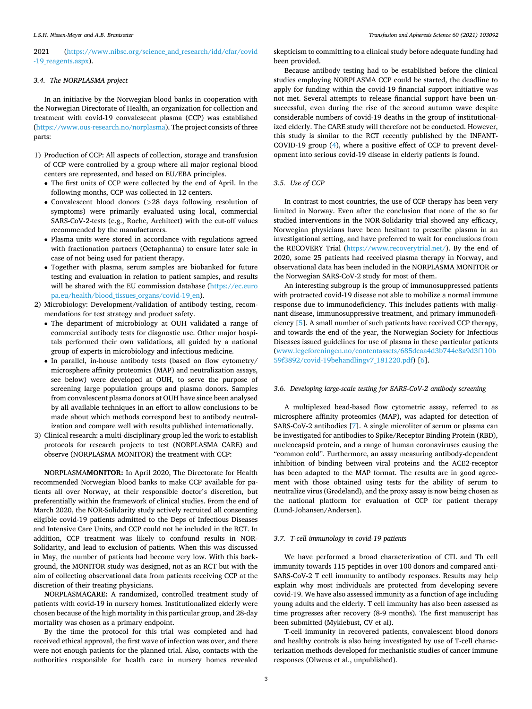## 2021 (https://www.nibsc.org/science and research/idd/cfar/covid [-19\\_reagents.aspx](https://www.nibsc.org/science_and_research/idd/cfar/covid-19_reagents.aspx)).

#### *3.4. The NORPLASMA project*

In an initiative by the Norwegian blood banks in cooperation with the Norwegian Directorate of Health, an organization for collection and treatment with covid-19 convalescent plasma (CCP) was established (<https://www.ous-research.no/norplasma>). The project consists of three parts:

- 1) Production of CCP: All aspects of collection, storage and transfusion of CCP were controlled by a group where all major regional blood centers are represented, and based on EU/EBA principles.
	- The first units of CCP were collected by the end of April. In the following months, CCP was collected in 12 centers.
	- Convalescent blood donors (*>*28 days following resolution of symptoms) were primarily evaluated using local, commercial SARS-CoV-2-tests (e.g., Roche, Architect) with the cut-off values recommended by the manufacturers.
	- Plasma units were stored in accordance with regulations agreed with fractionation partners (Octapharma) to ensure later sale in case of not being used for patient therapy.
	- Together with plasma, serum samples are biobanked for future testing and evaluation in relation to patient samples, and results will be shared with the EU commission database [\(https://ec.euro](https://ec.europa.eu/health/blood_tissues_organs/covid-19_en)  [pa.eu/health/blood\\_tissues\\_organs/covid-19\\_en\)](https://ec.europa.eu/health/blood_tissues_organs/covid-19_en).
- 2) Microbiology: Development/validation of antibody testing, recommendations for test strategy and product safety.
	- The department of microbiology at OUH validated a range of commercial antibody tests for diagnostic use. Other major hospitals performed their own validations, all guided by a national group of experts in microbiology and infectious medicine.
	- In parallel, in-house antibody tests (based on flow cytometry/ microsphere affinity proteomics (MAP) and neutralization assays, see below) were developed at OUH, to serve the purpose of screening large population groups and plasma donors. Samples from convalescent plasma donors at OUH have since been analysed by all available techniques in an effort to allow conclusions to be made about which methods correspond best to antibody neutralization and compare well with results published internationally.
- 3) Clinical research: a multi-disciplinary group led the work to establish protocols for research projects to test (NORPLASMA CARE) and observe (NORPLASMA MONITOR) the treatment with CCP:

**N**ORPLASMA**MONITOR:** In April 2020, The Directorate for Health recommended Norwegian blood banks to make CCP available for patients all over Norway, at their responsible doctor's discretion, but preferentially within the framework of clinical studies. From the end of March 2020, the NOR-Solidarity study actively recruited all consenting eligible covid-19 patients admitted to the Deps of Infectious Diseases and Intensive Care Units, and CCP could not be included in the RCT. In addition, CCP treatment was likely to confound results in NOR-Solidarity, and lead to exclusion of patients. When this was discussed in May, the number of patients had become very low. With this background, the MONITOR study was designed, not as an RCT but with the aim of collecting observational data from patients receiving CCP at the discretion of their treating physicians.

**N**ORPLASMA**CARE:** A randomized, controlled treatment study of patients with covid-19 in nursery homes. Institutionalized elderly were chosen because of the high mortality in this particular group, and 28-day mortality was chosen as a primary endpoint.

By the time the protocol for this trial was completed and had received ethical approval, the first wave of infection was over, and there were not enough patients for the planned trial. Also, contacts with the authorities responsible for health care in nursery homes revealed

skepticism to committing to a clinical study before adequate funding had been provided.

Because antibody testing had to be established before the clinical studies employing NORPLASMA CCP could be started, the deadline to apply for funding within the covid-19 financial support initiative was not met. Several attempts to release financial support have been unsuccessful, even during the rise of the second autumn wave despite considerable numbers of covid-19 deaths in the group of institutionalized elderly. The CARE study will therefore not be conducted. However, this study is similar to the RCT recently published by the INFANT-COVID-19 group ([4](#page-3-0)), where a positive effect of CCP to prevent development into serious covid-19 disease in elderly patients is found.

## *3.5. Use of CCP*

In contrast to most countries, the use of CCP therapy has been very limited in Norway. Even after the conclusion that none of the so far studied interventions in the NOR-Solidarity trial showed any efficacy, Norwegian physicians have been hesitant to prescribe plasma in an investigational setting, and have preferred to wait for conclusions from the RECOVERY Trial [\(https://www.recoverytrial.net/](https://www.recoverytrial.net/)). By the end of 2020, some 25 patients had received plasma therapy in Norway, and observational data has been included in the NORPLASMA MONITOR or the Norwegian SARS-CoV-2 study for most of them.

An interesting subgroup is the group of immunosuppressed patients with protracted covid-19 disease not able to mobilize a normal immune response due to immunodeficiency. This includes patients with malignant disease, immunosuppressive treatment, and primary immunodeficiency [\[5\]](#page-3-0). A small number of such patients have received CCP therapy, and towards the end of the year, the Norwegian Society for Infectious Diseases issued guidelines for use of plasma in these particular patients ([www.legeforeningen.no/contentassets/685dcaa4d3b744c8a9d3f110b](http://www.legeforeningen.no/contentassets/685dcaa4d3b744c8a9d3f110b59f3892/covid-19behandlingv7_181220.pdf)  [59f3892/covid-19behandlingv7\\_181220.pdf](http://www.legeforeningen.no/contentassets/685dcaa4d3b744c8a9d3f110b59f3892/covid-19behandlingv7_181220.pdf)) [\[6\]](#page-3-0).

## *3.6. Developing large-scale testing for SARS-CoV-2 antibody screening*

A multiplexed bead-based flow cytometric assay, referred to as microsphere affinity proteomics (MAP), was adapted for detection of SARS-CoV-2 antibodies [\[7\]](#page-3-0). A single microliter of serum or plasma can be investigated for antibodies to Spike/Receptor Binding Protein (RBD), nucleocapsid protein, and a range of human coronaviruses causing the "common cold". Furthermore, an assay measuring antibody-dependent inhibition of binding between viral proteins and the ACE2-receptor has been adapted to the MAP format. The results are in good agreement with those obtained using tests for the ability of serum to neutralize virus (Grødeland), and the proxy assay is now being chosen as the national platform for evaluation of CCP for patient therapy (Lund-Johansen/Andersen).

#### *3.7. T-cell immunology in covid-19 patients*

We have performed a broad characterization of CTL and Th cell immunity towards 115 peptides in over 100 donors and compared anti-SARS-CoV-2 T cell immunity to antibody responses. Results may help explain why most individuals are protected from developing severe covid-19. We have also assessed immunity as a function of age including young adults and the elderly. T cell immunity has also been assessed as time progresses after recovery (8-9 months). The first manuscript has been submitted (Myklebust, CV et al).

T-cell immunity in recovered patients, convalescent blood donors and healthy controls is also being investigated by use of T-cell characterization methods developed for mechanistic studies of cancer immune responses (Olweus et al., unpublished).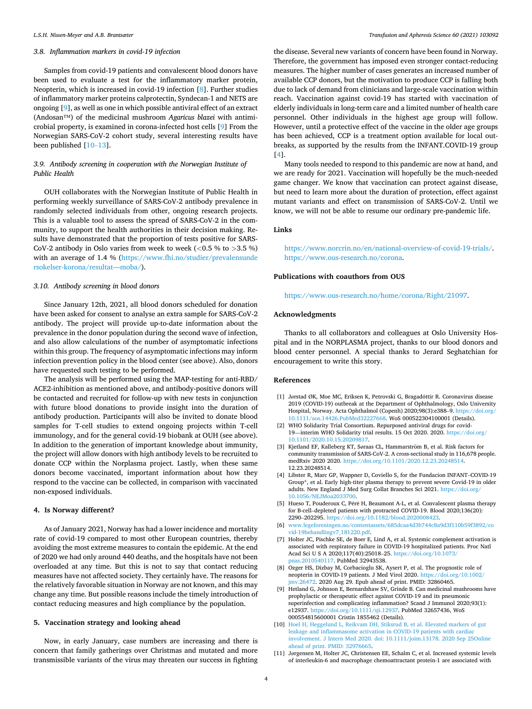#### <span id="page-3-0"></span>*3.8. Inflammation markers in covid-19 infection*

Samples from covid-19 patients and convalescent blood donors have been used to evaluate a test for the inflammatory marker protein, Neopterin, which is increased in covid-19 infection [8]. Further studies of inflammatory marker proteins calprotectin, Syndecan-1 and NETS are ongoing [9], as well as one in which possible antiviral effect of an extract (Andosan™) of the medicinal mushroom *Agaricus blazei* with antimicrobial property, is examined in corona-infected host cells [9] From the Norwegian SARS-CoV-2 cohort study, several interesting results have been published [10–13].

## *3.9. Antibody screening in cooperation with the Norwegian Institute of Public Health*

OUH collaborates with the Norwegian Institute of Public Health in performing weekly surveillance of SARS-CoV-2 antibody prevalence in randomly selected individuals from other, ongoing research projects. This is a valuable tool to assess the spread of SARS-CoV-2 in the community, to support the health authorities in their decision making. Results have demonstrated that the proportion of tests positive for SARS-CoV-2 antibody in Oslo varies from week to week (*<*0.5 % to *>*3.5 %) with an average of 1.4 % [\(https://www.fhi.no/studier/prevalensunde](https://www.fhi.no/studier/prevalensundersokelser-korona/resultat---moba/)  [rsokelser-korona/resultat—moba/](https://www.fhi.no/studier/prevalensundersokelser-korona/resultat---moba/)).

## *3.10. Antibody screening in blood donors*

Since January 12th, 2021, all blood donors scheduled for donation have been asked for consent to analyse an extra sample for SARS-CoV-2 antibody. The project will provide up-to-date information about the prevalence in the donor population during the second wave of infection, and also allow calculations of the number of asymptomatic infections within this group. The frequency of asymptomatic infections may inform infection prevention policy in the blood center (see above). Also, donors have requested such testing to be performed.

The analysis will be performed using the MAP-testing for anti-RBD/ ACE2-inhibition as mentioned above, and antibody-positive donors will be contacted and recruited for follow-up with new tests in conjunction with future blood donations to provide insight into the duration of antibody production. Participants will also be invited to donate blood samples for T-cell studies to extend ongoing projects within T-cell immunology, and for the general covid-19 biobank at OUH (see above). In addition to the generation of important knowledge about immunity, the project will allow donors with high antibody levels to be recruited to donate CCP within the Norplasma project. Lastly, when these same donors become vaccinated, important information about how they respond to the vaccine can be collected, in comparison with vaccinated non-exposed individuals.

#### **4. Is Norway different?**

As of January 2021, Norway has had a lower incidence and mortality rate of covid-19 compared to most other European countries, thereby avoiding the most extreme measures to contain the epidemic. At the end of 2020 we had only around 440 deaths, and the hospitals have not been overloaded at any time. But this is not to say that contact reducing measures have not affected society. They certainly have. The reasons for the relatively favorable situation in Norway are not known, and this may change any time. But possible reasons include the timely introduction of contact reducing measures and high compliance by the population.

#### **5. Vaccination strategy and looking ahead**

Now, in early January, case numbers are increasing and there is concern that family gatherings over Christmas and mutated and more transmissible variants of the virus may threaten our success in fighting

the disease. Several new variants of concern have been found in Norway. Therefore, the government has imposed even stronger contact-reducing measures. The higher number of cases generates an increased number of available CCP donors, but the motivation to produce CCP is falling both due to lack of demand from clinicians and large-scale vaccination within reach. Vaccination against covid-19 has started with vaccination of elderly individuals in long-term care and a limited number of health care personnel. Other individuals in the highest age group will follow. However, until a protective effect of the vaccine in the older age groups has been achieved, CCP is a treatment option available for local outbreaks, as supported by the results from the INFANT.COVID-19 group [4].

Many tools needed to respond to this pandemic are now at hand, and we are ready for 2021. Vaccination will hopefully be the much-needed game changer. We know that vaccination can protect against disease, but need to learn more about the duration of protection, effect against mutant variants and effect on transmission of SARS-CoV-2. Until we know, we will not be able to resume our ordinary pre-pandemic life.

### **Links**

<https://www.norcrin.no/en/national-overview-of-covid-19-trials/>. <https://www.ous-research.no/corona>.

#### **Publications with coauthors from OUS**

<https://www.ous-research.no/home/corona/Right/21097>.

#### **Acknowledgments**

Thanks to all collaborators and colleagues at Oslo University Hospital and in the NORPLASMA project, thanks to our blood donors and blood center personnel. A special thanks to Jerard Seghatchian for encouragement to write this story.

#### **References**

- [1] Jørstad ØK, Moe MC, Eriksen K, Petrovski G, Bragadóttir R. Coronavirus disease 2019 (COVID-19) outbreak at the Department of Ophthalmology, Oslo University Hospital, Norway. Acta Ophthalmol (Copenh) 2020;98(3):e388-9. https://doi [10.1111/aos.14426.PubMed32227668](https://doi.org/10.1111/aos.14426.PubMed32227668). WoS 000522304100001 (Details).
- [2] WHO Solidarity Trial Consortium. Repurposed antiviral drugs for covid-19—interim WHO Solidarity trial results. 15 Oct 2020. 2020. [https://doi.org/](https://doi.org/10.1101/2020.10.15.20209817)  [10.1101/2020.10.15.20209817](https://doi.org/10.1101/2020.10.15.20209817).
- [3] Kjetland EF, Kalleberg KT, Søraas CL, Hammarström B, et al. Risk factors for community transmission of SARS-CoV-2. A cross-sectional study in 116,678 people. medRxiv 2020 2020. <https://doi.org/10.1101/2020.12.23.20248514>. 12.23.20248514.
- [4] Libster R, Marc GP, Wappner D, Coviello S, for the Fundacion INFANT–COVID-19 Group\*, et al. Early high-titer plasma therapy to prevent severe Covid-19 in older adults. New England J Med Surg Collat Branches Sci 2021. [https://doi.org/](https://doi.org/10.1056/NEJMoa2033700)  [10.1056/NEJMoa2033700](https://doi.org/10.1056/NEJMoa2033700).
- [5] Hueso T, Pouderoux C, Péré H, Beaumont A-L, et al. Convalescent plasma therapy for B-cell–depleted patients with protracted COVID-19. Blood 2020;136(20): 2290–202295. <https://doi.org/10.1182/blood.2020008423>.
- [6] [www.legeforeningen.no/contentassets/685dcaa4d3b744c8a9d3f110b59f3892/co](http://www.legeforeningen.no/contentassets/685dcaa4d3b744c8a9d3f110b59f3892/covid-19behandlingv7_181220.pdf) vid-19behandlingv7 181220.pdf.
- [7] Holter JC, Pischke SE, de Boer E, Lind A, et al. Systemic complement activation is associated with respiratory failure in COVID-19 hospitalized patients. Proc Natl Acad Sci U S A 2020;117(40):25018–25. [https://doi.org/10.1073/](https://doi.org/10.1073/pnas.2010540117)  [pnas.2010540117.](https://doi.org/10.1073/pnas.2010540117) PubMed 32943538.
- [8] Ozger HS, Dizbay M, Corbacioglu SK, Aysert P, et al. The prognostic role of neopterin in COVID-19 patients. J Med Virol 2020. [https://doi.org/10.1002/](https://doi.org/10.1002/jmv.26472)   $mv.26472.$  2020 Aug 29. Epub ahead of print. PMID: 32860465.
- [9] Hetland G, Johnson E, Bernardshaw SV, Grinde B. Can medicinal mushrooms have prophylactic or therapeutic effect against COVID-19 and its pneumonic superinfection and complicating inflammation? Scand J Immunol 2020;93(1): e12937. [https://doi.org/10.1111/sji.12937.](https://doi.org/10.1111/sji.12937) PubMed 32657436, WoS 000554815600001 Cristin 1855462 (Details).
- [10] [Hoel H, Heggelund L, Reikvam DH, Stiksrud B, et al. Elevated markers of gut](http://refhub.elsevier.com/S1473-0502(21)00047-1/sbref0050) [leakage and inflammasome activation in COVID-19 patients with cardiac](http://refhub.elsevier.com/S1473-0502(21)00047-1/sbref0050) [involvement. J Intern Med 2020. doi: 10.1111/joim.13178. 2020 Sep 25Online](http://refhub.elsevier.com/S1473-0502(21)00047-1/sbref0050)  [ahead of print. PMID: 32976665.](http://refhub.elsevier.com/S1473-0502(21)00047-1/sbref0050)
- [11] Jørgensen M, Holter JC, Christensen EE, Schalm C, et al. Increased systemic levels of interleukin-6 and macrophage chemoattractant protein-1 are associated with